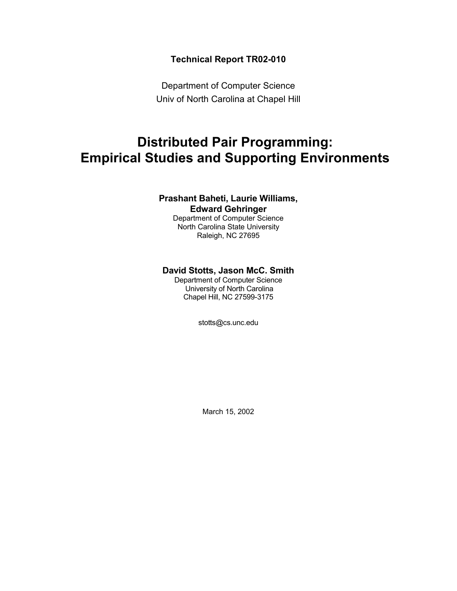# **Technical Report TR02-010**

Department of Computer Science Univ of North Carolina at Chapel Hill

# **Distributed Pair Programming: Empirical Studies and Supporting Environments**

# **Prashant Baheti, Laurie Williams, Edward Gehringer**

Department of Computer Science North Carolina State University Raleigh, NC 27695

# **David Stotts, Jason McC. Smith**

Department of Computer Science University of North Carolina Chapel Hill, NC 27599-3175

stotts@cs.unc.edu

March 15, 2002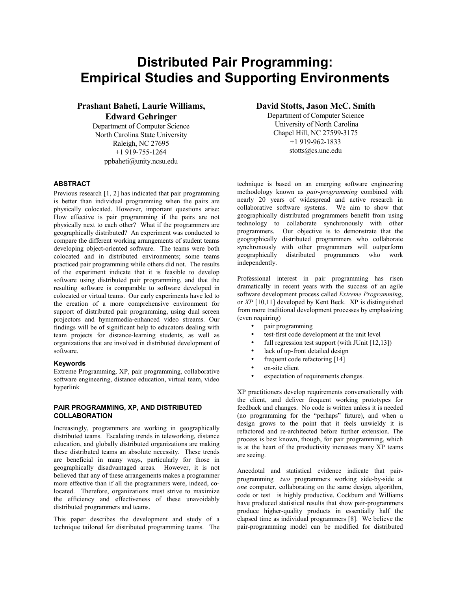# **Distributed Pair Programming: Empirical Studies and Supporting Environments**

**Prashant Baheti, Laurie Williams, Edward Gehringer** 

Department of Computer Science North Carolina State University Raleigh, NC 27695 +1 919-755-1264 ppbaheti@unity.ncsu.edu

# **ABSTRACT**

Previous research [1, 2] has indicated that pair programming is better than individual programming when the pairs are physically colocated. However, important questions arise: How effective is pair programming if the pairs are not physically next to each other? What if the programmers are geographically distributed? An experiment was conducted to compare the different working arrangements of student teams developing object-oriented software. The teams were both colocated and in distributed environments; some teams practiced pair programming while others did not. The results of the experiment indicate that it is feasible to develop software using distributed pair programming, and that the resulting software is comparable to software developed in colocated or virtual teams. Our early experiments have led to the creation of a more comprehensive environment for support of distributed pair programming, using dual screen projectors and hymermedia-enhanced video streams. Our findings will be of significant help to educators dealing with team projects for distance-learning students, as well as organizations that are involved in distributed development of software.

#### **Keywords**

Extreme Programming, XP, pair programming, collaborative software engineering, distance education, virtual team, video hyperlink

# **PAIR PROGRAMMING, XP, AND DISTRIBUTED COLLABORATION**

Increasingly, programmers are working in geographically distributed teams. Escalating trends in teleworking, distance education, and globally distributed organizations are making these distributed teams an absolute necessity. These trends are beneficial in many ways, particularly for those in geographically disadvantaged areas. However, it is not believed that any of these arrangements makes a programmer more effective than if all the programmers were, indeed, colocated. Therefore, organizations must strive to maximize the efficiency and effectiveness of these unavoidably distributed programmers and teams.

This paper describes the development and study of a technique tailored for distributed programming teams. The **David Stotts, Jason McC. Smith** 

Department of Computer Science University of North Carolina Chapel Hill, NC 27599-3175 +1 919-962-1833 stotts@cs.unc.edu

technique is based on an emerging software engineering methodology known as *pair-programming* combined with nearly 20 years of widespread and active research in collaborative software systems. We aim to show that geographically distributed programmers benefit from using technology to collaborate synchronously with other programmers. Our objective is to demonstrate that the geographically distributed programmers who collaborate synchronously with other programmers will outperform geographically distributed programmers who work independently.

Professional interest in pair programming has risen dramatically in recent years with the success of an agile software development process called *Extreme Programming*, or *XP* [10,11] developed by Kent Beck. XP is distinguished from more traditional development processes by emphasizing (even requiring)

- pair programming
- test-first code development at the unit level
- full regression test support (with JUnit [12,13])
- lack of up-front detailed design
- frequent code refactoring [14]
- on-site client
- expectation of requirements changes.

XP practitioners develop requirements conversationally with the client, and deliver frequent working prototypes for feedback and changes. No code is written unless it is needed (no programming for the "perhaps" future), and when a design grows to the point that it feels unwieldy it is refactored and re-architected before further extension. The process is best known, though, for pair programming, which is at the heart of the productivity increases many XP teams are seeing.

Anecdotal and statistical evidence indicate that pairprogramming—two programmers working side-by-side at *one* computer, collaborating on the same design, algorithm, code or test—is highly productive. Cockburn and Williams have produced statistical results that show pair-programmers produce higher-quality products in essentially half the elapsed time as individual programmers [8]. We believe the pair-programming model can be modified for distributed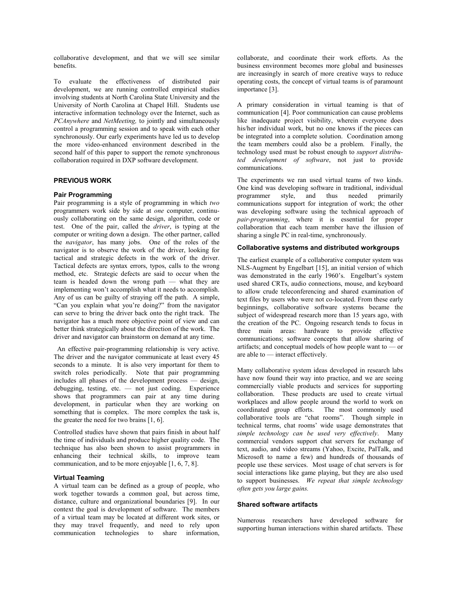collaborative development, and that we will see similar benefits.

To evaluate the effectiveness of distributed pair development, we are running controlled empirical studies involving students at North Carolina State University and the University of North Carolina at Chapel Hill. Students use interactive information technology over the Internet, such as *PCAnywhere* and *NetMeeting,* to jointly and simultaneously control a programming session and to speak with each other synchronously. Our early experiments have led us to develop the more video-enhanced environment described in the second half of this paper to support the remote synchronous collaboration required in DXP software development.

# **PREVIOUS WORK**

## **Pair Programming**

Pair programming is a style of programming in which *two*  programmers work side by side at *one* computer, continuously collaborating on the same design, algorithm, code or test. One of the pair, called the *driver*, is typing at the computer or writing down a design. The other partner, called the *navigator*, has many jobs. One of the roles of the navigator is to observe the work of the driver, looking for tactical and strategic defects in the work of the driver. Tactical defects are syntax errors, typos, calls to the wrong method, etc. Strategic defects are said to occur when the team is headed down the wrong path  $-$  what they are implementing won't accomplish what it needs to accomplish. Any of us can be guilty of straying off the path. A simple, "Can you explain what you're doing?" from the navigator can serve to bring the driver back onto the right track. The navigator has a much more objective point of view and can better think strategically about the direction of the work. The driver and navigator can brainstorm on demand at any time.

 An effective pair-programming relationship is very active. The driver and the navigator communicate at least every 45 seconds to a minute. It is also very important for them to switch roles periodically. Note that pair programming includes all phases of the development process  $-$  design, debugging, testing, etc.  $\frac{1}{\sqrt{1-\frac{1}{\sqrt{1-\frac{1}{\sqrt{1-\frac{1}{\sqrt{1-\frac{1}{\sqrt{1-\frac{1}{\sqrt{1-\frac{1}{\sqrt{1-\frac{1}{\sqrt{1-\frac{1}{\sqrt{1-\frac{1}{\sqrt{1-\frac{1}{\sqrt{1-\frac{1}{\sqrt{1-\frac{1}{\sqrt{1-\frac{1}{\sqrt{1-\frac{1}{\sqrt{1-\frac{1}{\sqrt{1-\frac{1}{\sqrt{1-\frac{1}{\sqrt{1-\frac{1}{\sqrt{1-\frac{1}{\sqrt{1-\frac{1}{\sqrt{1-\frac{1}{\$ shows that programmers can pair at any time during development, in particular when they are working on something that is complex. The more complex the task is, the greater the need for two brains [1, 6].

Controlled studies have shown that pairs finish in about half the time of individuals and produce higher quality code. The technique has also been shown to assist programmers in enhancing their technical skills, to improve team communication, and to be more enjoyable [1, 6, 7, 8].

#### **Virtual Teaming**

A virtual team can be defined as a group of people, who work together towards a common goal, but across time, distance, culture and organizational boundaries [9]. In our context the goal is development of software. The members of a virtual team may be located at different work sites, or they may travel frequently, and need to rely upon communication technologies to share information, collaborate, and coordinate their work efforts. As the business environment becomes more global and businesses are increasingly in search of more creative ways to reduce operating costs, the concept of virtual teams is of paramount importance [3].

A primary consideration in virtual teaming is that of communication [4]. Poor communication can cause problems like inadequate project visibility, wherein everyone does his/her individual work, but no one knows if the pieces can be integrated into a complete solution. Coordination among the team members could also be a problem. Finally, the technology used must be robust enough to *support distributed development of software*, not just to provide communications.

The experiments we ran used virtual teams of two kinds. One kind was developing software in traditional, individual programmer style, and thus needed primarily communications support for integration of work; the other was developing software using the technical approach of *pair-programming*, where it is essential for proper collaboration that each team member have the illusion of sharing a single PC in real-time, synchronously.

### **Collaborative systems and distributed workgroups**

The earliest example of a collaborative computer system was NLS-Augment by Engelbart [15], an initial version of which was demonstrated in the early 1960's. Engelbart's system used shared CRTs, audio connections, mouse, and keyboard to allow crude teleconferencing and shared examination of text files by users who were not co-located. From these early beginnings, collaborative software systems became the subject of widespread research more than 15 years ago, with the creation of the PC. Ongoing research tends to focus in three main areas: hardware to provide effective communications; software concepts that allow sharing of artifacts; and conceptual models of how people want to  $\overline{\phantom{a}}$  or are able to  $-$  interact effectively.

Many collaborative system ideas developed in research labs have now found their way into practice, and we are seeing commercially viable products and services for supporting collaboration. These products are used to create virtual workplaces and allow people around the world to work on coordinated group efforts. The most commonly used collaborative tools are "chat rooms". Though simple in technical terms, chat rooms' wide usage demonstrates that *simple technology can be used very effectively*. Many commercial vendors support chat servers for exchange of text, audio, and video streams (Yahoo, Excite, PalTalk, and Microsoft to name a few) and hundreds of thousands of people use these services. Most usage of chat servers is for social interactions like game playing, but they are also used to support businesses. *We repeat that simple technology often gets you large gains.* 

#### **Shared software artifacts**

Numerous researchers have developed software for supporting human interactions within shared artifacts. These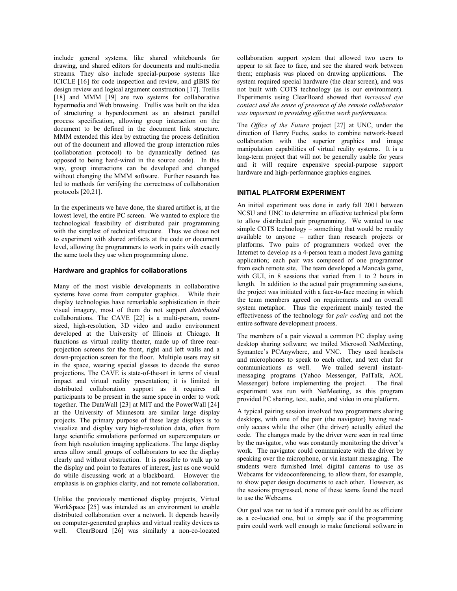include general systems, like shared whiteboards for drawing, and shared editors for documents and multi-media streams. They also include special-purpose systems like ICICLE [16] for code inspection and review, and gIBIS for design review and logical argument construction [17]. Trellis [18] and MMM [19] are two systems for collaborative hypermedia and Web browsing. Trellis was built on the idea of structuring a hyperdocument as an abstract parallel process specification, allowing group interaction on the document to be defined in the document link structure. MMM extended this idea by extracting the process definition out of the document and allowed the group interaction rules (collaboration protocol) to be dynamically defined (as opposed to being hard-wired in the source code). In this way, group interactions can be developed and changed without changing the MMM software. Further research has led to methods for verifying the correctness of collaboration protocols [20,21].

In the experiments we have done, the shared artifact is, at the lowest level, the entire PC screen. We wanted to explore the technological feasibility of distributed pair programming with the simplest of technical structure. Thus we chose not to experiment with shared artifacts at the code or document level, allowing the programmers to work in pairs with exactly the same tools they use when programming alone.

# **Hardware and graphics for collaborations**

Many of the most visible developments in collaborative systems have come from computer graphics. While their display technologies have remarkable sophistication in their visual imagery, most of them do not support *distributed* collaborations. The CAVE [22] is a multi-person, roomsized, high-resolution, 3D video and audio environment developed at the University of Illinois at Chicago. It functions as virtual reality theater, made up of three rearprojection screens for the front, right and left walls and a down-projection screen for the floor. Multiple users may sit in the space, wearing special glasses to decode the stereo projections. The CAVE is state-of-the-art in terms of visual impact and virtual reality presentation; it is limited in distributed collaboration support as it requires all participants to be present in the same space in order to work together. The DataWall [23] at MIT and the PowerWall [24] at the University of Minnesota are similar large display projects. The primary purpose of these large displays is to visualize and display very high-resolution data, often from large scientific simulations performed on supercomputers or from high resolution imaging applications. The large display areas allow small groups of collaborators to see the display clearly and without obstruction. It is possible to walk up to the display and point to features of interest, just as one would do while discussing work at a blackboard. However the emphasis is on graphics clarity, and not remote collaboration.

Unlike the previously mentioned display projects, Virtual WorkSpace [25] was intended as an environment to enable distributed collaboration over a network. It depends heavily on computer-generated graphics and virtual reality devices as well. ClearBoard [26] was similarly a non-co-located

collaboration support system that allowed two users to appear to sit face to face, and see the shared work between them; emphasis was placed on drawing applications. The system required special hardware (the clear screen), and was not built with COTS technology (as is our environment). Experiments using ClearBoard showed that *increased eye contact and the sense of presence of the remote collaborator was important in providing effective work performance.*

The *Office of the Future* project [27] at UNC, under the direction of Henry Fuchs, seeks to combine network-based collaboration with the superior graphics and image manipulation capabilities of virtual reality systems. It is a long-term project that will not be generally usable for years and it will require expensive special-purpose support hardware and high-performance graphics engines.

# **INITIAL PLATFORM EXPERIMENT**

An initial experiment was done in early fall 2001 between NCSU and UNC to determine an effective technical platform to allow distributed pair programming. We wanted to use simple COTS technology - something that would be readily available to anyone - rather than research projects or platforms. Two pairs of programmers worked over the Internet to develop as a 4-person team a modest Java gaming application; each pair was composed of one programmer from each remote site. The team developed a Mancala game, with GUI, in 8 sessions that varied from 1 to 2 hours in length. In addition to the actual pair programming sessions, the project was initiated with a face-to-face meeting in which the team members agreed on requirements and an overall system metaphor. Thus the experiment mainly tested the effectiveness of the technology for *pair coding* and not the entire software development process.

The members of a pair viewed a common PC display using desktop sharing software; we trailed Microsoft NetMeeting, Symantec's PCAnywhere, and VNC. They used headsets and microphones to speak to each other, and text chat for communications as well. We trailed several instantmessaging programs (Yahoo Messenger, PalTalk, AOL Messenger) before implementing the project. The final experiment was run with NetMeeting, as this program provided PC sharing, text, audio, and video in one platform.

A typical pairing session involved two programmers sharing desktops, with one of the pair (the navigator) having readonly access while the other (the driver) actually edited the code. The changes made by the driver were seen in real time by the navigator, who was constantly monitoring the driver's work. The navigator could communicate with the driver by speaking over the microphone, or via instant messaging. The students were furnished Intel digital cameras to use as Webcams for videoconferencing, to allow them, for example, to show paper design documents to each other. However, as the sessions progressed, none of these teams found the need to use the Webcams.

Our goal was not to test if a remote pair could be as efficient as a co-located one, but to simply see if the programming pairs could work well enough to make functional software in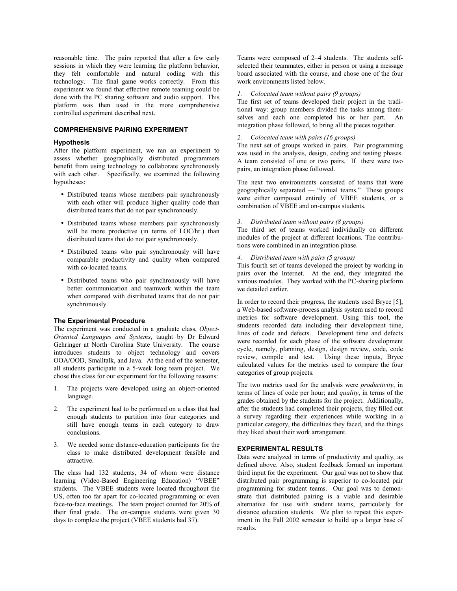reasonable time. The pairs reported that after a few early sessions in which they were learning the platform behavior, they felt comfortable and natural coding with this technology. The final game works correctly. From this experiment we found that effective remote teaming could be done with the PC sharing software and audio support. This platform was then used in the more comprehensive controlled experiment described next.

#### **COMPREHENSIVE PAIRING EXPERIMENT**

#### **Hypothesis**

After the platform experiment, we ran an experiment to assess whether geographically distributed programmers benefit from using technology to collaborate synchronously with each other. Specifically, we examined the following hypotheses:

- Distributed teams whose members pair synchronously with each other will produce higher quality code than distributed teams that do not pair synchronously.
- Distributed teams whose members pair synchronously will be more productive (in terms of LOC/hr.) than distributed teams that do not pair synchronously.
- Distributed teams who pair synchronously will have comparable productivity and quality when compared with co-located teams.
- Distributed teams who pair synchronously will have better communication and teamwork within the team when compared with distributed teams that do not pair synchronously.

#### **The Experimental Procedure**

The experiment was conducted in a graduate class, *Object-Oriented Languages and Systems*, taught by Dr Edward Gehringer at North Carolina State University. The course introduces students to object technology and covers OOA/OOD, Smalltalk, and Java. At the end of the semester, all students participate in a 5-week long team project. We chose this class for our experiment for the following reasons:

- 1. The projects were developed using an object-oriented language.
- 2. The experiment had to be performed on a class that had enough students to partition into four categories and still have enough teams in each category to draw conclusions.
- 3. We needed some distance-education participants for the class to make distributed development feasible and attractive.

The class had 132 students, 34 of whom were distance learning (Video-Based Engineering Education) "VBEE" students. The VBEE students were located throughout the US, often too far apart for co-located programming or even face-to-face meetings. The team project counted for 20% of their final grade. The on-campus students were given 30 days to complete the project (VBEE students had 37).

Teams were composed of 2–4 students. The students selfselected their teammates, either in person or using a message board associated with the course, and chose one of the four work environments listed below.

#### *1. Colocated team without pairs (9 groups)*

The first set of teams developed their project in the traditional way: group members divided the tasks among themselves and each one completed his or her part. An integration phase followed, to bring all the pieces together.

## *2. Colocated team with pairs (16 groups)*

The next set of groups worked in pairs. Pair programming was used in the analysis, design, coding and testing phases. A team consisted of one or two pairs. If there were two pairs, an integration phase followed.

The next two environments consisted of teams that were geographically separated  $-$  "virtual teams." These groups were either composed entirely of VBEE students, or a combination of VBEE and on-campus students.

### *3. Distributed team without pairs (8 groups)*

The third set of teams worked individually on different modules of the project at different locations. The contributions were combined in an integration phase.

# *4. Distributed team with pairs (5 groups)*

This fourth set of teams developed the project by working in pairs over the Internet. At the end, they integrated the various modules. They worked with the PC-sharing platform we detailed earlier.

In order to record their progress, the students used Bryce [5], a Web-based software-process analysis system used to record metrics for software development. Using this tool, the students recorded data including their development time, lines of code and defects. Development time and defects were recorded for each phase of the software development cycle, namely, planning, design, design review, code, code review, compile and test. Using these inputs, Bryce calculated values for the metrics used to compare the four categories of group projects.

The two metrics used for the analysis were *productivity*, in terms of lines of code per hour; and *quality*, in terms of the grades obtained by the students for the project. Additionally, after the students had completed their projects, they filled out a survey regarding their experiences while working in a particular category, the difficulties they faced, and the things they liked about their work arrangement.

#### **EXPERIMENTAL RESULTS**

Data were analyzed in terms of productivity and quality, as defined above. Also, student feedback formed an important third input for the experiment. Our goal was not to show that distributed pair programming is superior to co-located pair programming for student teams. Our goal was to demonstrate that distributed pairing is a viable and desirable alternative for use with student teams, particularly for distance education students. We plan to repeat this experiment in the Fall 2002 semester to build up a larger base of results.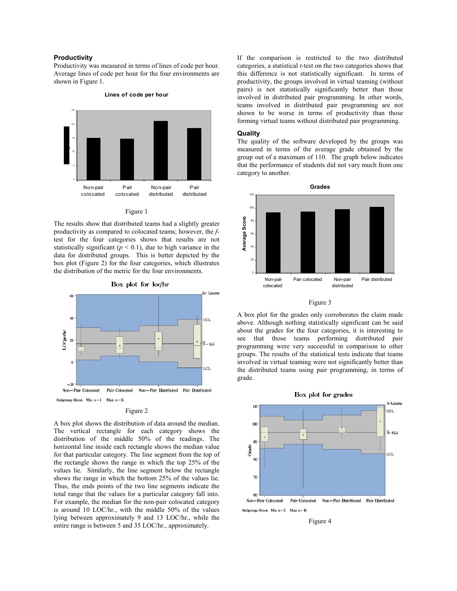#### **Productivity**

Productivity was measured in terms of lines of code per hour. Average lines of code per hour for the four environments are shown in Figure 1.



#### **Lines of code per hour**

#### Figure 1

The results show that distributed teams had a slightly greater productivity as compared to colocated teams; however, the *f*test for the four categories shows that results are not statistically significant ( $p < 0.1$ ), due to high variance in the data for distributed groups. This is better depicted by the box plot (Figure 2) for the four categories, which illustrates the distribution of the metric for the four environments.



#### Figure 2

A box plot shows the distribution of data around the median. The vertical rectangle for each category shows the distribution of the middle 50% of the readings. The horizontal line inside each rectangle shows the median value for that particular category. The line segment from the top of the rectangle shows the range in which the top 25% of the values lie. Similarly, the line segment below the rectangle shows the range in which the bottom 25% of the values lie. Thus, the ends points of the two line segments indicate the total range that the values for a particular category fall into. For example, the median for the non-pair colocated category is around 10 LOC/hr., with the middle 50% of the values lying between approximately 9 and 13 LOC/hr., while the entire range is between 5 and 35 LOC/hr., approximately.

If the comparison is restricted to the two distributed categories, a statistical *t*-test on the two categories shows that this difference is not statistically significant. In terms of productivity, the groups involved in virtual teaming (without pairs) is not statistically significantly better than those involved in distributed pair programming. In other words, teams involved in distributed pair programming are not shown to be worse in terms of productivity than those forming virtual teams without distributed pair programming.

#### **Quality**

The quality of the software developed by the groups was measured in terms of the average grade obtained by the group out of a maximum of 110. The graph below indicates that the performance of students did not vary much from one category to another.



#### Figure 3

A box plot for the grades only corroborates the claim made above. Although nothing statistically significant can be said about the grades for the four categories, it is interesting to see that those teams performing distributed pair programming were very successful in comparison to other groups. The results of the statistical tests indicate that teams involved in virtual teaming were not significantly better than the distributed teams using pair programming, in terms of grade.



#### Figure 4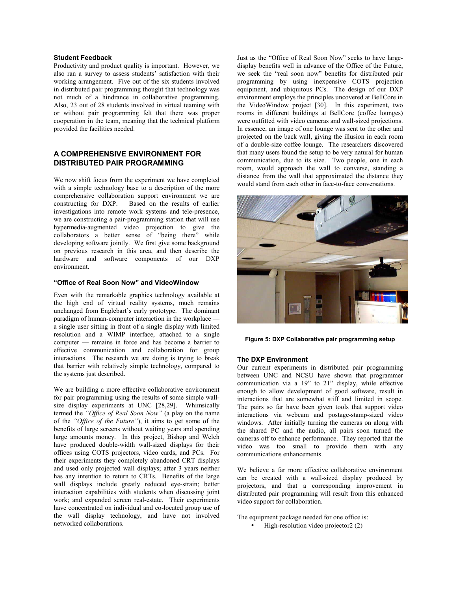# **Student Feedback**

Productivity and product quality is important. However, we also ran a survey to assess students' satisfaction with their working arrangement. Five out of the six students involved in distributed pair programming thought that technology was not much of a hindrance in collaborative programming. Also, 23 out of 28 students involved in virtual teaming with or without pair programming felt that there was proper cooperation in the team, meaning that the technical platform provided the facilities needed.

# **A COMPREHENSIVE ENVIRONMENT FOR DISTRIBUTED PAIR PROGRAMMING**

We now shift focus from the experiment we have completed with a simple technology base to a description of the more comprehensive collaboration support environment we are constructing for DXP. Based on the results of earlier investigations into remote work systems and tele-presence, we are constructing a pair-programming station that will use hypermedia-augmented video projection to give the  $collaborators$  a better sense of "being there" while developing software jointly. We first give some background on previous research in this area, and then describe the hardware and software components of our DXP environment.

# **ìOffice of Real Soon Nowî and VideoWindow**

Even with the remarkable graphics technology available at the high end of virtual reality systems, much remains unchanged from Englebart's early prototype. The dominant paradigm of human-computer interaction in the workplace  $-\frac{1}{2}$ a single user sitting in front of a single display with limited resolution and a WIMP interface, attached to a single computer – remains in force and has become a barrier to effective communication and collaboration for group interactions. The research we are doing is trying to break that barrier with relatively simple technology, compared to the systems just described.

We are building a more effective collaborative environment for pair programming using the results of some simple wallsize display experiments at UNC [28,29]. Whimsically termed the *<sup><i>'Office of Real Soon Now*" (a play on the name</sup> of the *'Office of the Future''*), it aims to get some of the benefits of large screens without waiting years and spending large amounts money. In this project, Bishop and Welch have produced double-width wall-sized displays for their offices using COTS projectors, video cards, and PCs. For their experiments they completely abandoned CRT displays and used only projected wall displays; after 3 years neither has any intention to return to CRTs. Benefits of the large wall displays include greatly reduced eye-strain; better interaction capabilities with students when discussing joint work; and expanded screen real-estate. Their experiments have concentrated on individual and co-located group use of the wall display technology, and have not involved networked collaborations.

Just as the "Office of Real Soon Now" seeks to have largedisplay benefits well in advance of the Office of the Future, we seek the "real soon now" benefits for distributed pair programming by using inexpensive COTS projection equipment, and ubiquitous PCs. The design of our DXP environment employs the principles uncovered at BellCore in the VideoWindow project [30]. In this experiment, two rooms in different buildings at BellCore (coffee lounges) were outfitted with video cameras and wall-sized projections. In essence, an image of one lounge was sent to the other and projected on the back wall, giving the illusion in each room of a double-size coffee lounge. The researchers discovered that many users found the setup to be very natural for human communication, due to its size. Two people, one in each room, would approach the wall to converse, standing a distance from the wall that approximated the distance they would stand from each other in face-to-face conversations.



**Figure 5: DXP Collaborative pair programming setup** 

#### **The DXP Environment**

Our current experiments in distributed pair programming between UNC and NCSU have shown that programmer communication via a  $19$ " to  $21$ " display, while effective enough to allow development of good software, result in interactions that are somewhat stiff and limited in scope. The pairs so far have been given tools that support video interactions via webcam and postage-stamp-sized video windows. After initially turning the cameras on along with the shared PC and the audio, all pairs soon turned the cameras off to enhance performance. They reported that the video was too small to provide them with any communications enhancements.

We believe a far more effective collaborative environment can be created with a wall-sized display produced by projectors, and that a corresponding improvement in distributed pair programming will result from this enhanced video support for collaboration.

The equipment package needed for one office is:

• High-resolution video projector 2 (2)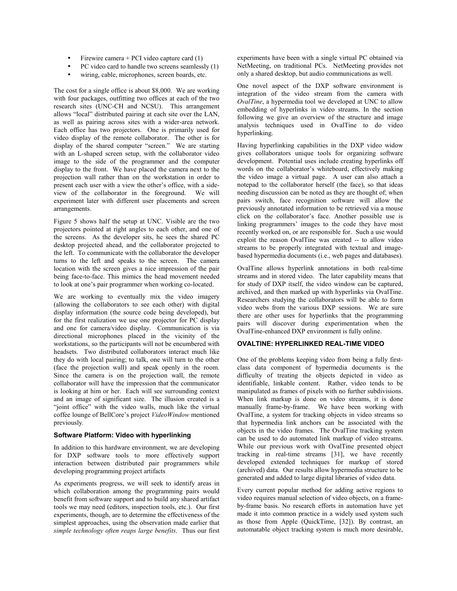- Firewire camera  $+$  PCI video capture card  $(1)$
- PC video card to handle two screens seamlessly (1)
- wiring, cable, microphones, screen boards, etc.

The cost for a single office is about \$8,000. We are working with four packages, outfitting two offices at each of the two research sites (UNC-CH and NCSU). This arrangement allows "local" distributed pairing at each site over the LAN, as well as pairing across sites with a wider-area network. Each office has two projectors. One is primarily used for video display of the remote collaborator. The other is for display of the shared computer "screen." We are starting with an L-shaped screen setup, with the collaborator video image to the side of the programmer and the computer display to the front. We have placed the camera next to the projection wall rather than on the workstation in order to present each user with a view the other's office, with a sideview of the collaborator in the foreground. We will experiment later with different user placements and screen arrangements.

Figure 5 shows half the setup at UNC. Visible are the two projectors pointed at right angles to each other, and one of the screens. As the developer sits, he sees the shared PC desktop projected ahead, and the collaborator projected to the left. To communicate with the collaborator the developer turns to the left and speaks to the screen. The camera location with the screen gives a nice impression of the pair being face-to-face. This mimics the head movement needed to look at one's pair programmer when working co-located.

We are working to eventually mix the video imagery (allowing the collaborators to see each other) with digital display information (the source code being developed), but for the first realization we use one projector for PC display and one for camera/video display. Communication is via directional microphones placed in the vicinity of the workstations, so the participants will not be encumbered with headsets. Two distributed collaborators interact much like they do with local pairing; to talk, one will turn to the other (face the projection wall) and speak openly in the room. Since the camera is on the projection wall, the remote collaborator will have the impression that the communicator is looking at him or her. Each will see surrounding context and an image of significant size. The illusion created is a "joint office" with the video walls, much like the virtual coffee lounge of BellCore's project VideoWindow mentioned previously*.*

#### **Software Platform: Video with hyperlinking**

In addition to this hardware environment, we are developing for DXP software tools to more effectively support interaction between distributed pair programmers while developing programming project artifacts

As experiments progress, we will seek to identify areas in which collaboration among the programming pairs would benefit from software support and to build any shared artifact tools we may need (editors, inspection tools, etc.). Our first experiments, though, are to determine the effectiveness of the simplest approaches, using the observation made earlier that *simple technology often reaps large benefits*. Thus our first experiments have been with a single virtual PC obtained via NetMeeting, on traditional PCs. NetMeeting provides not only a shared desktop, but audio communications as well.

One novel aspect of the DXP software environment is integration of the video stream from the camera with *OvalTine*, a hypermedia tool we developed at UNC to allow embedding of hyperlinks in video streams. In the section following we give an overview of the structure and image analysis techniques used in OvalTine to do video hyperlinking.

Having hyperlinking capabilities in the DXP video widow gives collaborators unique tools for organizing software development. Potential uses include creating hyperlinks off words on the collaborator's whiteboard, effectively making the video image a virtual page. A user can also attach a notepad to the collaborator herself (the face), so that ideas needing discussion can be noted as they are thought of; when pairs switch, face recognition software will allow the previously annotated information to be retrieved via a mouse click on the collaborator's face. Another possible use is linking programmers' images to the code they have most recently worked on, or are responsible for. Such a use would exploit the reason OvalTine was created -- to allow video streams to be properly integrated with textual and imagebased hypermedia documents (i.e., web pages and databases).

OvalTine allows hyperlink annotations in both real-time streams and in stored video. The later capability means that for study of DXP itself, the video window can be captured, archived, and then marked up with hyperlinks via OvalTine. Researchers studying the collaborators will be able to form video webs from the various DXP sessions. We are sure there are other uses for hyperlinks that the programming pairs will discover during experimentation when the OvalTine-enhanced DXP environment is fully online.

# **OVALTINE: HYPERLINKED REAL-TIME VIDEO**

One of the problems keeping video from being a fully firstclass data component of hypermedia documents is the difficulty of treating the objects depicted in video as identifiable, linkable content. Rather, video tends to be manipulated as frames of pixels with no further subdivisions. When link markup is done on video streams, it is done manually frame-by-frame. We have been working with OvalTine, a system for tracking objects in video streams so that hypermedia link anchors can be associated with the objects in the video frames. The OvalTine tracking system can be used to do automated link markup of video streams. While our previous work with OvalTine presented object tracking in real-time streams [31], we have recently developed extended techniques for markup of stored (archived) data. Our results allow hypermedia structure to be generated and added to large digital libraries of video data.

Every current popular method for adding active regions to video requires manual selection of video objects, on a frameby-frame basis. No research efforts in automation have yet made it into common practice in a widely used system such as those from Apple (QuickTime, [32]). By contrast, an automatable object tracking system is much more desirable,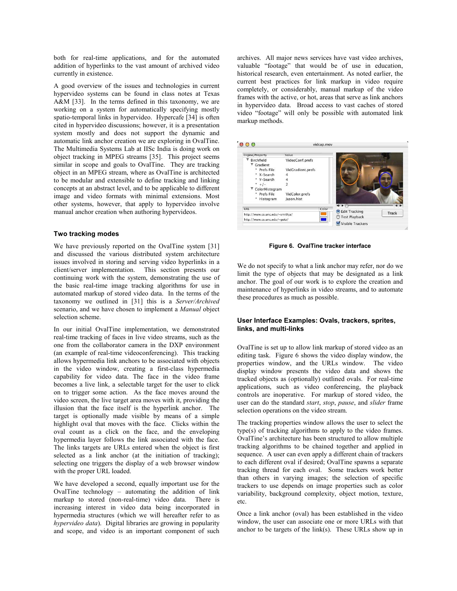both for real-time applications, and for the automated addition of hyperlinks to the vast amount of archived video currently in existence.

A good overview of the issues and technologies in current hypervideo systems can be found in class notes at Texas A&M [33]. In the terms defined in this taxonomy, we are working on a system for automatically specifying mostly spatio-temporal links in hypervideo. Hypercafe [34] is often cited in hypervideo discussions; however, it is a presentation system mostly and does not support the dynamic and automatic link anchor creation we are exploring in OvalTine. The Multimedia Systems Lab at IISc India is doing work on object tracking in MPEG streams [35]. This project seems similar in scope and goals to OvalTine. They are tracking object in an MPEG stream, where as OvalTine is architected to be modular and extensible to define tracking and linking concepts at an abstract level, and to be applicable to different image and video formats with minimal extensions. Most other systems, however, that apply to hypervideo involve manual anchor creation when authoring hypervideos.

#### **Two tracking modes**

We have previously reported on the OvalTine system [31] and discussed the various distributed system architecture issues involved in storing and serving video hyperlinks in a client/server implementation. This section presents our continuing work with the system, demonstrating the use of the basic real-time image tracking algorithms for use in automated markup of stored video data. In the terms of the taxonomy we outlined in [31] this is a *Server/Archived* scenario, and we have chosen to implement a *Manual* object selection scheme.

In our initial OvalTine implementation, we demonstrated real-time tracking of faces in live video streams, such as the one from the collaborator camera in the DXP environment (an example of real-time videoconferencing). This tracking allows hypermedia link anchors to be associated with objects in the video window, creating a first-class hypermedia capability for video data. The face in the video frame becomes a live link, a selectable target for the user to click on to trigger some action. As the face moves around the video screen, the live target area moves with it, providing the illusion that the face itself is the hyperlink anchor. The target is optionally made visible by means of a simple highlight oval that moves with the face. Clicks within the oval count as a click on the face, and the enveloping hypermedia layer follows the link associated with the face. The links targets are URLs entered when the object is first selected as a link anchor (at the initiation of tracking); selecting one triggers the display of a web browser window with the proper URL loaded.

We have developed a second, equally important use for the OvalTine technology  $-$  automating the addition of link markup to stored (non-real-time) video data. There is increasing interest in video data being incorporated in hypermedia structures (which we will hereafter refer to as *hypervideo data*). Digital libraries are growing in popularity and scope, and video is an important component of such archives. All major news services have vast video archives, valuable "footage" that would be of use in education, historical research, even entertainment. As noted earlier, the current best practices for link markup in video require completely, or considerably, manual markup of the video frames with the active, or hot, areas that serve as link anchors in hypervideo data. Broad access to vast caches of stored video "footage" will only be possible with automated link markup methods.



**Figure 6. OvalTine tracker interface** 

We do not specify to what a link anchor may refer, nor do we limit the type of objects that may be designated as a link anchor. The goal of our work is to explore the creation and maintenance of hyperlinks in video streams, and to automate these procedures as much as possible.

# **User Interface Examples: Ovals, trackers, sprites, links, and multi-links**

OvalTine is set up to allow link markup of stored video as an editing task. Figure 6 shows the video display window, the properties window, and the URLs window. The video display window presents the video data and shows the tracked objects as (optionally) outlined ovals. For real-time applications, such as video conferencing, the playback controls are inoperative. For markup of stored video, the user can do the standard *start*, *stop*, *pause*, and *slider* frame selection operations on the video stream.

The tracking properties window allows the user to select the type(s) of tracking algorithms to apply to the video frames. OvalTine's architecture has been structured to allow multiple tracking algorithms to be chained together and applied in sequence. A user can even apply a different chain of trackers to each different oval if desired; OvalTine spawns a separate tracking thread for each oval. Some trackers work better than others in varying images; the selection of specific trackers to use depends on image properties such as color variability, background complexity, object motion, texture, etc.

Once a link anchor (oval) has been established in the video window, the user can associate one or more URLs with that anchor to be targets of the link(s). These URLs show up in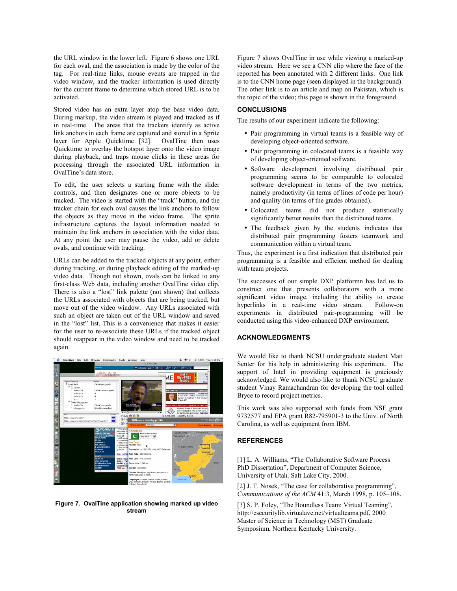the URL window in the lower left. Figure 6 shows one URL for each oval, and the association is made by the color of the tag. For real-time links, mouse events are trapped in the video window, and the tracker information is used directly for the current frame to determine which stored URL is to be activated.

Stored video has an extra layer atop the base video data. During markup, the video stream is played and tracked as if in real-time. The areas that the trackers identify as active link anchors in each frame are captured and stored in a Sprite layer for Apple Quicktime [32]. OvalTine then uses Quicktime to overlay the hotspot layer onto the video image during playback, and traps mouse clicks in these areas for processing through the associated URL information in OvalTine's data store.

To edit, the user selects a starting frame with the slider controls, and then designates one or more objects to be tracked. The video is started with the "track" button, and the tracker chain for each oval causes the link anchors to follow the objects as they move in the video frame. The sprite infrastructure captures the layout information needed to maintain the link anchors in association with the video data. At any point the user may pause the video, add or delete ovals, and continue with tracking.

URLs can be added to the tracked objects at any point, either during tracking, or during playback editing of the marked-up video data. Though not shown, ovals can be linked to any first-class Web data, including another OvalTine video clip. There is also a "lost" link palette (not shown) that collects the URLs associated with objects that are being tracked, but move out of the video window. Any URLs associated with such an object are taken out of the URL window and saved in the "lost" list. This is a convenience that makes it easier for the user to re-associate these URLs if the tracked object should reappear in the video window and need to be tracked again.



**Figure 7. OvalTine application showing marked up video stream** 

Figure 7 shows OvalTine in use while viewing a marked-up video stream. Here we see a CNN clip where the face of the reported has been annotated with 2 different links. One link is to the CNN home page (seen displayed in the background). The other link is to an article and map on Pakistan, which is the topic of the video; this page is shown in the foreground.

# **CONCLUSIONS**

The results of our experiment indicate the following:

- Pair programming in virtual teams is a feasible way of developing object-oriented software.
- Pair programming in colocated teams is a feasible way of developing object-oriented software.
- Software development involving distributed pair programming seems to be comparable to colocated software development in terms of the two metrics, namely productivity (in terms of lines of code per hour) and quality (in terms of the grades obtained).
- Colocated teams did not produce statistically significantly better results than the distributed teams.
- The feedback given by the students indicates that distributed pair programming fosters teamwork and communication within a virtual team.

Thus, the experiment is a first indication that distributed pair programming is a feasible and efficient method for dealing with team projects.

The successes of our simple DXP platformn has led us to construct one that presents collaborators with a more significant video image, including the ability to create hyperlinks in a real-time video stream. Follow-on experiments in distributed pair-programming will be conducted using this video-enhanced DXP environment.

# **ACKNOWLEDGMENTS**

We would like to thank NCSU undergraduate student Matt Senter for his help in administering this experiment. The support of Intel in providing equipment is graciously acknowledged. We would also like to thank NCSU graduate student Vinay Ramachandran for developing the tool called Bryce to record project metrics.

This work was also supported with funds from NSF grant 9732577 and EPA grant R82-795901-3 to the Univ. of North Carolina, as well as equipment from IBM.

# **REFERENCES**

[1] L. A. Williams, "The Collaborative Software Process PhD Dissertation", Department of Computer Science, University of Utah. Salt Lake City, 2000.

[2] J. T. Nosek, "The case for collaborative programming", *Communications of the ACM* 41:3, March 1998, p. 105-108.

[3] S. P. Foley, "The Boundless Team: Virtual Teaming", http://esecuritylib.virtualave.net/virtualteams.pdf, 2000 Master of Science in Technology (MST) Graduate Symposium, Northern Kentucky University.